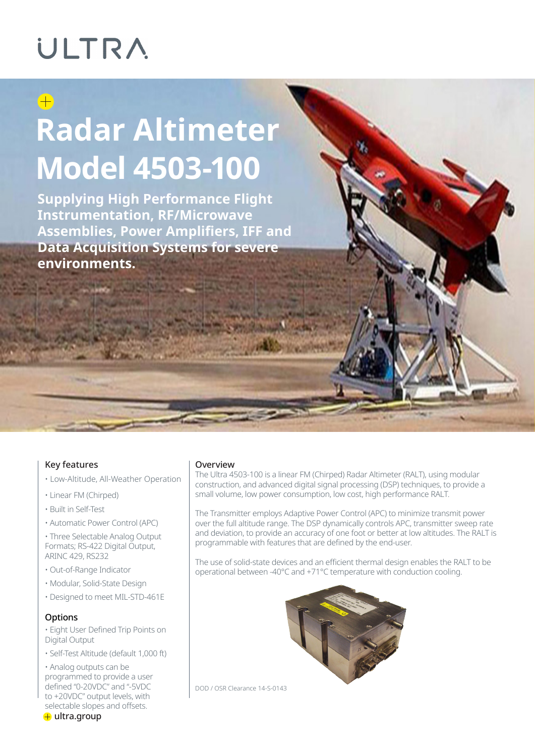### ULTRA

### $\bigoplus$

## **Radar Altimeter Model 4503-100**

**Supplying High Performance Flight Instrumentation, RF/Microwave Assemblies, Power Amplifiers, IFF and Data Acquisition Systems for severe environments.**

#### Key features

- Low-Altitude, All-Weather Operation
- Linear FM (Chirped)
- Built in Self-Test
- Automatic Power Control (APC)

• Three Selectable Analog Output Formats; RS-422 Digital Output, ARINC 429, RS232

- Out-of-Range Indicator
- Modular, Solid-State Design
- Designed to meet MIL-STD-461E

#### **Options**

• Eight User Defined Trip Points on Digital Output

• Self-Test Altitude (default 1,000 ft)

• Analog outputs can be programmed to provide a user defined "0-20VDC" and "-5VDC to +20VDC" output levels, with selectable slopes and offsets.

#### Overview

The Ultra 4503-100 is a linear FM (Chirped) Radar Altimeter (RALT), using modular construction, and advanced digital signal processing (DSP) techniques, to provide a small volume, low power consumption, low cost, high performance RALT.

The Transmitter employs Adaptive Power Control (APC) to minimize transmit power over the full altitude range. The DSP dynamically controls APC, transmitter sweep rate and deviation, to provide an accuracy of one foot or better at low altitudes. The RALT is programmable with features that are defined by the end-user.

The use of solid-state devices and an efficient thermal design enables the RALT to be operational between -40°C and +71°C temperature with conduction cooling.



DOD / OSR Clearance 14-S-0143